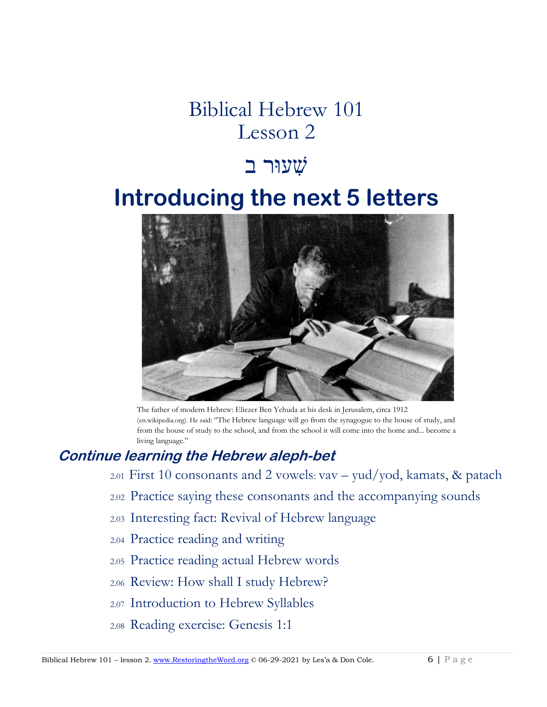# Biblical Hebrew 101 Lesson 2

# שׁ ִעוּר בִ

# **Introducing the next 5 letters**



The father of modern Hebrew: Eliezer Ben Yehuda at his desk in Jerusalem, circa 1912 (en.wikipedia.org). He said: "The Hebrew language will go from the synagogue to the house of study, and from the house of study to the school, and from the school it will come into the home and... become a living language."

## **Continue learning the Hebrew aleph-bet**

- 2.01 First 10 consonants and 2 vowels: vav yud/yod, kamats, & patach
- 2.02 Practice saying these consonants and the accompanying sounds
- 2.03 Interesting fact: Revival of Hebrew language
- 2.04 Practice reading and writing
- 2.05 Practice reading actual Hebrew words
- 2.06 Review: How shall I study Hebrew?
- 2.07 Introduction to Hebrew Syllables
- 2.08 Reading exercise: Genesis 1:1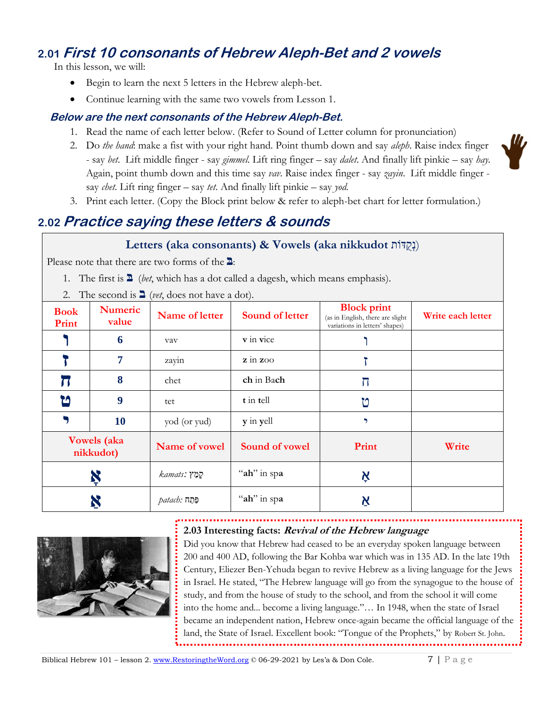## **2.01 First 10 consonants of Hebrew Aleph-Bet and 2 vowels**

In this lesson, we will:

- Begin to learn the next 5 letters in the Hebrew aleph-bet.
- Continue learning with the same two vowels from Lesson 1.

#### **Below are the next consonants of the Hebrew Aleph-Bet.**

- 1. Read the name of each letter below. (Refer to Sound of Letter column for pronunciation)
- 2. Do *the hand*: make a fist with your right hand. Point thumb down and say *aleph*. Raise index finger - say *bet*. Lift middle finger - say *gimmel*. Lift ring finger – say *dalet*. And finally lift pinkie – say *hay.*  Again, point thumb down and this time say *vav*. Raise index finger - say *zayin*. Lift middle finger say *chet*. Lift ring finger – say *tet*. And finally lift pinkie – say *yod.*
- 3. Print each letter. (Copy the Block print below & refer to aleph-bet chart for letter formulation.)

## **2.02 Practice saying these letters & sounds**

#### **Letters (aka consonants) & Vowels (aka nikkudot (נְקְדּוֹת)**

Please note that there are two forms of the **בּ**:

- 1. The first is **בּ**) *bet*, which has a dot called a dagesh, which means emphasis).
- 2. The second is **ב**) *vet*, does not have a dot).

| <b>Book</b><br>Print            | <b>Numeric</b><br>value | Name of letter        | <b>Sound of letter</b>                         | <b>Block print</b><br>(as in English, there are slight<br>variations in letters' shapes) | Write each letter |
|---------------------------------|-------------------------|-----------------------|------------------------------------------------|------------------------------------------------------------------------------------------|-------------------|
|                                 | 6                       | vav                   | v in vice                                      |                                                                                          |                   |
|                                 | 7                       | zayin                 | $\overline{z}$ in $\overline{z}$ <sub>00</sub> |                                                                                          |                   |
|                                 | 8                       | chet                  | ch in Bach                                     | 丌                                                                                        |                   |
| ิช                              | 9                       | tet                   | t in tell                                      | ט                                                                                        |                   |
|                                 | 10                      | yod (or yud)          | y in yell                                      | 9                                                                                        |                   |
| <b>Vowels</b> (aka<br>nikkudot) |                         | Name of vowel         | Sound of vowel                                 | Print                                                                                    | Write             |
|                                 |                         | לְמַץ <i>:kamats</i>  | "ah" in spa                                    | Ķ                                                                                        |                   |
|                                 |                         | <i>תַּחַה patach:</i> | "ah" in spa                                    | Ķ                                                                                        |                   |

#### **2.03 Interesting facts: Revival of the Hebrew language**



Did you know that Hebrew had ceased to be an everyday spoken language between 200 and 400 AD, following the Bar Kohba war which was in 135 AD. In the late 19th Century, Eliezer Ben-Yehuda began to revive Hebrew as a living language for the Jews in Israel. He stated, "The Hebrew language will go from the synagogue to the house of study, and from the house of study to the school, and from the school it will come into the home and... become a living language."… In 1948, when the state of Israel became an independent nation, Hebrew once-again became the official language of the land, the State of Israel. Excellent book: "Tongue of the Prophets," by Robert St. John.



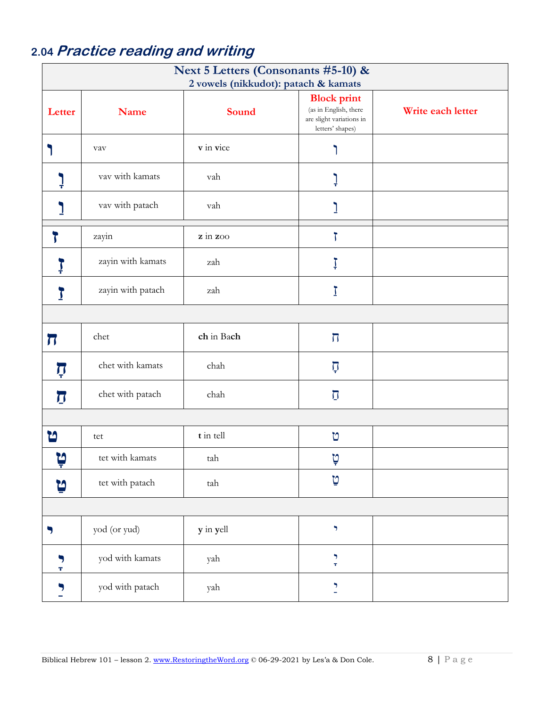## 2.04 Practice reading and writing

| Next 5 Letters (Consonants #5-10) &  |                   |            |                                                                                             |                   |  |
|--------------------------------------|-------------------|------------|---------------------------------------------------------------------------------------------|-------------------|--|
| 2 vowels (nikkudot): patach & kamats |                   |            |                                                                                             |                   |  |
| Letter                               | <b>Name</b>       | Sound      | <b>Block print</b><br>(as in English, there<br>are slight variations in<br>letters' shapes) | Write each letter |  |
|                                      | vav               | v in vice  |                                                                                             |                   |  |
|                                      | vav with kamats   | vah        | ļ                                                                                           |                   |  |
|                                      | vav with patach   | vah        |                                                                                             |                   |  |
| $\overline{\mathbf{r}}$              | zayin             | z in zoo   | $\bar{J}$                                                                                   |                   |  |
| ļ                                    | zayin with kamats | zah        | Ţ                                                                                           |                   |  |
| <u>}</u>                             | zayin with patach | zah        | Ţ                                                                                           |                   |  |
|                                      |                   |            |                                                                                             |                   |  |
| $\boldsymbol{\pi}$                   | chet              | ch in Bach | $\overline{\Pi}$                                                                            |                   |  |
| Ţ                                    | chet with kamats  | chah       | ក្                                                                                          |                   |  |
| $\boldsymbol{\mathcal{J}}$           | chet with patach  | chah       | $\overline{\cup}$                                                                           |                   |  |
|                                      |                   |            |                                                                                             |                   |  |
| ิษ                                   | tet               | t in tell  | U                                                                                           |                   |  |
| ิษ<br>┳                              | tet with kamats   | tah        | D<br>₹                                                                                      |                   |  |
| ņ                                    | tet with patach   | tah        | טַ                                                                                          |                   |  |
|                                      |                   |            |                                                                                             |                   |  |
| 7                                    | yod (or yud)      | y in yell  | $\blacktriangledown$                                                                        |                   |  |
| $\blacktriangledown$<br>Ŧ            | yod with kamats   | yah        | $\blacktriangledown$<br>$\pmb{\tau}$                                                        |                   |  |
| $\frac{1}{2}$                        | yod with patach   | yah        | $\blacktriangledown$<br>÷,                                                                  |                   |  |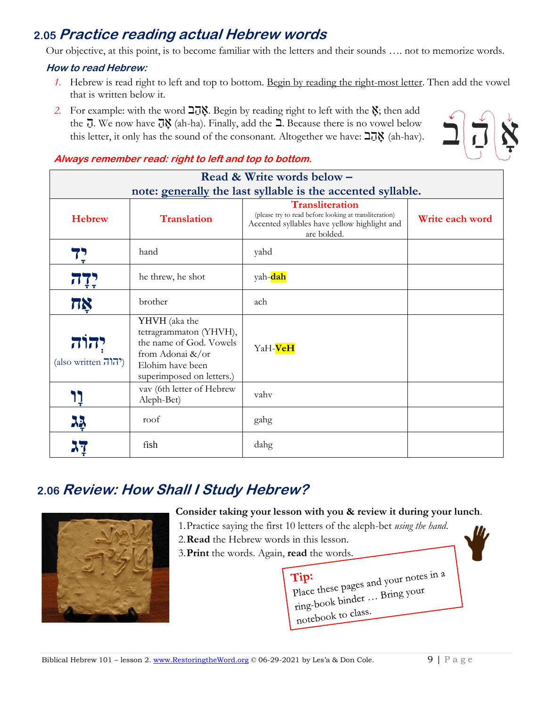### **2.05 Practice reading actual Hebrew words**

Our objective, at this point, is to become familiar with the letters and their sounds …. not to memorize words.

#### **How to read Hebrew:**

- *1.* Hebrew is read right to left and top to bottom. Begin by reading the right-most letter. Then add the vowel that is written below it.
- 2. For example: with the word  $\overline{\Delta}$ . Begin by reading right to left with the  $\chi$ ; then add the  $\overline{J}$ . We now have  $\overline{J}$  (ah-ha). Finally, add the  $\overline{J}$ . Because there is no vowel below this letter, it only has the sound of the consonant. Altogether we have: בַהֲב (ah-hav).



#### **Always remember read: right to left and top to bottom.**

| Read & Write words below -                                     |                                                                                                                                              |                                                                                                                                                 |                 |  |  |  |
|----------------------------------------------------------------|----------------------------------------------------------------------------------------------------------------------------------------------|-------------------------------------------------------------------------------------------------------------------------------------------------|-----------------|--|--|--|
| note: generally the last syllable is the accented syllable.    |                                                                                                                                              |                                                                                                                                                 |                 |  |  |  |
| <b>Hebrew</b>                                                  | <b>Translation</b>                                                                                                                           | <b>Transliteration</b><br>(please try to read before looking at transliteration)<br>Accented syllables have yellow highlight and<br>are bolded. | Write each word |  |  |  |
| י<br>ד                                                         | hand                                                                                                                                         | yahd                                                                                                                                            |                 |  |  |  |
| יִיְה                                                          | he threw, he shot                                                                                                                            | yah-dah                                                                                                                                         |                 |  |  |  |
| 78                                                             | brother                                                                                                                                      | ach                                                                                                                                             |                 |  |  |  |
| יהוה<br>(also written $\overline{1}\overline{1}\overline{1}$ ) | YHVH (aka the<br>tetragrammaton (YHVH),<br>the name of God. Vowels<br>from Adonai $\&\/$ or<br>Elohim have been<br>superimposed on letters.) | YaH- <b>VeH</b>                                                                                                                                 |                 |  |  |  |
|                                                                | vav (6th letter of Hebrew<br>Aleph-Bet)                                                                                                      | vahv                                                                                                                                            |                 |  |  |  |
| JЗ                                                             | roof                                                                                                                                         | gahg                                                                                                                                            |                 |  |  |  |
|                                                                | fish                                                                                                                                         | dahg                                                                                                                                            |                 |  |  |  |

## **2.06 Review: How Shall I Study Hebrew?**



#### **Consider taking your lesson with you & review it during your lunch**.

- 1.Practice saying the first 10 letters of the aleph-bet *using the hand*.
- 2.**Read** the Hebrew words in this lesson.
- 3.**Print** the words. Again, **read** the words.

Tip:<br>Place these pages and your notes in a place these pages and your<br>ring-book binder ... Bring your notebook to class.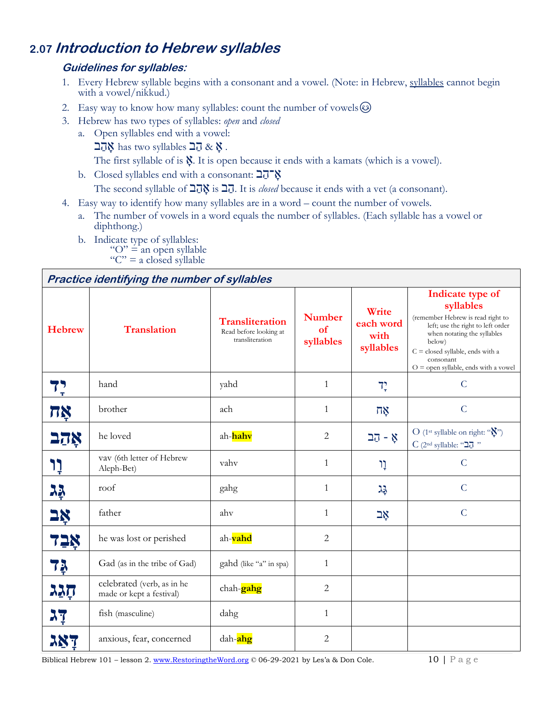## **2.07 Introduction to Hebrew syllables**

#### **Guidelines for syllables:**

- 1. Every Hebrew syllable begins with a consonant and a vowel. (Note: in Hebrew, syllables cannot begin with a vowel/nikkud.)
- 2. Easy way to know how many syllables: count the number of vowels  $\circledS$
- 3. Hebrew has two types of syllables: *open* and *closed*
	- a. Open syllables end with a vowel:
		- אָהַב has two syllables  $\exists \vec{a} \& \check{S}$  .
		- The first syllable of is  $\hat{N}$ . It is open because it ends with a kamats (which is a vowel).
	- b. Closed syllables end with a consonant:  $\frac{27}{8}$
	- The second syllable of  $\frac{1}{N}$ is  $\frac{1}{N}$ . It is *closed* because it ends with a vet (a consonant).
- 4. Easy way to identify how many syllables are in a word count the number of vowels.
	- a. The number of vowels in a word equals the number of syllables. (Each syllable has a vowel or diphthong.)
	- b. Indicate type of syllables: " $O$ " = an open syllable " $C$ " = a closed syllable

#### **Practice identifying the number of syllables**

| <b>Hebrew</b> | <b>Translation</b>                                     | <b>Transliteration</b><br>Read before looking at<br>transliteration | <b>Number</b><br>of<br>syllables | Write<br>each word<br>with<br>syllables | Indicate type of<br>syllables<br>(remember Hebrew is read right to<br>left; use the right to left order<br>when notating the syllables<br>below)<br>$C = closed$ syllable, ends with a<br>consonant<br>$O =$ open syllable, ends with a vowel |  |
|---------------|--------------------------------------------------------|---------------------------------------------------------------------|----------------------------------|-----------------------------------------|-----------------------------------------------------------------------------------------------------------------------------------------------------------------------------------------------------------------------------------------------|--|
| 75<br>77      | hand                                                   | yahd                                                                | $\mathbf{1}$                     | $7^\circ$                               | $\mathcal{C}$                                                                                                                                                                                                                                 |  |
| ΠŅ            | brother                                                | ach                                                                 | $\mathbf{1}$                     | $\overline{a}$ ጀ                        | $\mathcal{C}$                                                                                                                                                                                                                                 |  |
| אַכָב         | he loved                                               | ah- <mark>hahv</mark>                                               | $\overline{2}$                   | אָ - קב                                 | O (1 <sup>st</sup> syllable on right: " $\sum$ ")<br>$C$ (2nd syllable: "הב"                                                                                                                                                                  |  |
| <b>ְיָי</b>   | vav (6th letter of Hebrew<br>Aleph-Bet)                | vahv                                                                | 1                                | ָוו                                     | $\mathcal{C}$                                                                                                                                                                                                                                 |  |
| 23            | roof                                                   | gahg                                                                | $\mathbf{1}$                     | 꼬                                       | $\overline{C}$                                                                                                                                                                                                                                |  |
| <u>אָב</u>    | father                                                 | ahv                                                                 | $\mathbf{1}$                     | אָב                                     | $\mathcal{C}$                                                                                                                                                                                                                                 |  |
| 72Ŗ           | he was lost or perished                                | ah-vahd                                                             | $\overline{2}$                   |                                         |                                                                                                                                                                                                                                               |  |
| 7ķ            | Gad (as in the tribe of Gad)                           | gahd (like "a" in spa)                                              | $\mathbf{1}$                     |                                         |                                                                                                                                                                                                                                               |  |
| הַגַג         | celebrated (verb, as in he<br>made or kept a festival) | chah- <b>gahg</b>                                                   | $\overline{2}$                   |                                         |                                                                                                                                                                                                                                               |  |
| <b>AT</b>     | fish (masculine)                                       | dahg                                                                | $\mathbf{1}$                     |                                         |                                                                                                                                                                                                                                               |  |
|               | anxious, fear, concerned                               | dah- <mark>ahg</mark>                                               | $\mathbf{2}$                     |                                         |                                                                                                                                                                                                                                               |  |

Biblical Hebrew 101 – lesson 2. [www.RestoringtheWord.org](http://www.restoringtheword.org/) © 06-29-2021 by Les'a & Don Cole. 10 | P a g e